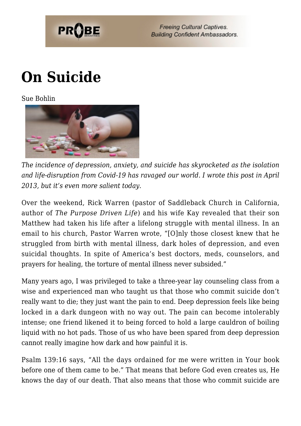

**Freeing Cultural Captives. Building Confident Ambassadors.** 

## **[On Suicide](https://probe.org/on-suicide/)**

Sue Bohlin



*The incidence of depression, anxiety, and suicide has skyrocketed as the isolation and life-disruption from Covid-19 has ravaged our world. I wrote this post in April 2013, but it's even more salient today.*

Over the weekend, Rick Warren (pastor of Saddleback Church in California, author of *The Purpose Driven Life*) and his wife Kay revealed that their son Matthew had taken his life after a lifelong struggle with mental illness. In an email to his church, Pastor Warren wrote, "[O]nly those closest knew that he struggled from birth with mental illness, dark holes of depression, and even suicidal thoughts. In spite of America's best doctors, meds, counselors, and prayers for healing, the torture of mental illness never subsided."

Many years ago, I was privileged to take a three-year lay counseling class from a wise and experienced man who taught us that those who commit suicide don't really want to die; they just want the pain to end. Deep depression feels like being locked in a dark dungeon with no way out. The pain can become intolerably intense; one friend likened it to being forced to hold a large cauldron of boiling liquid with no hot pads. Those of us who have been spared from deep depression cannot really imagine how dark and how painful it is.

Psalm 139:16 says, "All the days ordained for me were written in Your book before one of them came to be." That means that before God even creates us, He knows the day of our death. That also means that those who commit suicide are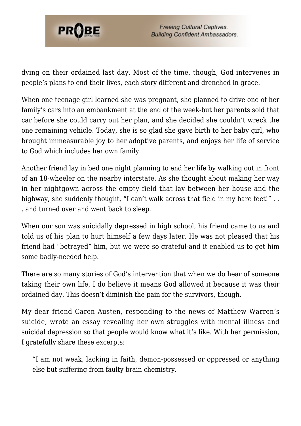

dying on their ordained last day. Most of the time, though, God intervenes in people's plans to end their lives, each story different and drenched in grace.

When one teenage girl learned she was pregnant, she planned to drive one of her family's cars into an embankment at the end of the week-but her parents sold that car before she could carry out her plan, and she decided she couldn't wreck the one remaining vehicle. Today, she is so glad she gave birth to her baby girl, who brought immeasurable joy to her adoptive parents, and enjoys her life of service to God which includes her own family.

Another friend lay in bed one night planning to end her life by walking out in front of an 18-wheeler on the nearby interstate. As she thought about making her way in her nightgown across the empty field that lay between her house and the highway, she suddenly thought, "I can't walk across that field in my bare feet!".. . and turned over and went back to sleep.

When our son was suicidally depressed in high school, his friend came to us and told us of his plan to hurt himself a few days later. He was not pleased that his friend had "betrayed" him, but we were so grateful-and it enabled us to get him some badly-needed help.

There are so many stories of God's intervention that when we do hear of someone taking their own life, I do believe it means God allowed it because it was their ordained day. This doesn't diminish the pain for the survivors, though.

My dear friend Caren Austen, responding to the news of Matthew Warren's suicide, wrote an essay revealing her own struggles with mental illness and suicidal depression so that people would know what it's like. With her permission, I gratefully share these excerpts:

"I am not weak, lacking in faith, demon-possessed or oppressed or anything else but suffering from faulty brain chemistry.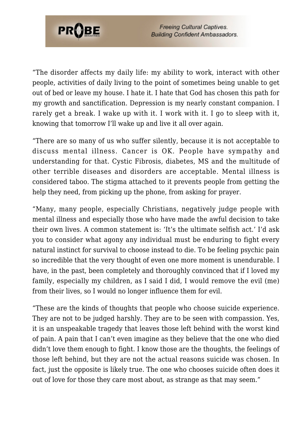

**Freeing Cultural Captives. Building Confident Ambassadors.** 

"The disorder affects my daily life: my ability to work, interact with other people, activities of daily living to the point of sometimes being unable to get out of bed or leave my house. I hate it. I hate that God has chosen this path for my growth and sanctification. Depression is my nearly constant companion. I rarely get a break. I wake up with it. I work with it. I go to sleep with it, knowing that tomorrow I'll wake up and live it all over again.

"There are so many of us who suffer silently, because it is not acceptable to discuss mental illness. Cancer is OK. People have sympathy and understanding for that. Cystic Fibrosis, diabetes, MS and the multitude of other terrible diseases and disorders are acceptable. Mental illness is considered taboo. The stigma attached to it prevents people from getting the help they need, from picking up the phone, from asking for prayer.

"Many, many people, especially Christians, negatively judge people with mental illness and especially those who have made the awful decision to take their own lives. A common statement is: 'It's the ultimate selfish act.' I'd ask you to consider what agony any individual must be enduring to fight every natural instinct for survival to choose instead to die. To be feeling psychic pain so incredible that the very thought of even one more moment is unendurable. I have, in the past, been completely and thoroughly convinced that if I loved my family, especially my children, as I said I did, I would remove the evil (me) from their lives, so I would no longer influence them for evil.

"These are the kinds of thoughts that people who choose suicide experience. They are not to be judged harshly. They are to be seen with compassion. Yes, it is an unspeakable tragedy that leaves those left behind with the worst kind of pain. A pain that I can't even imagine as they believe that the one who died didn't love them enough to fight. I know those are the thoughts, the feelings of those left behind, but they are not the actual reasons suicide was chosen. In fact, just the opposite is likely true. The one who chooses suicide often does it out of love for those they care most about, as strange as that may seem."